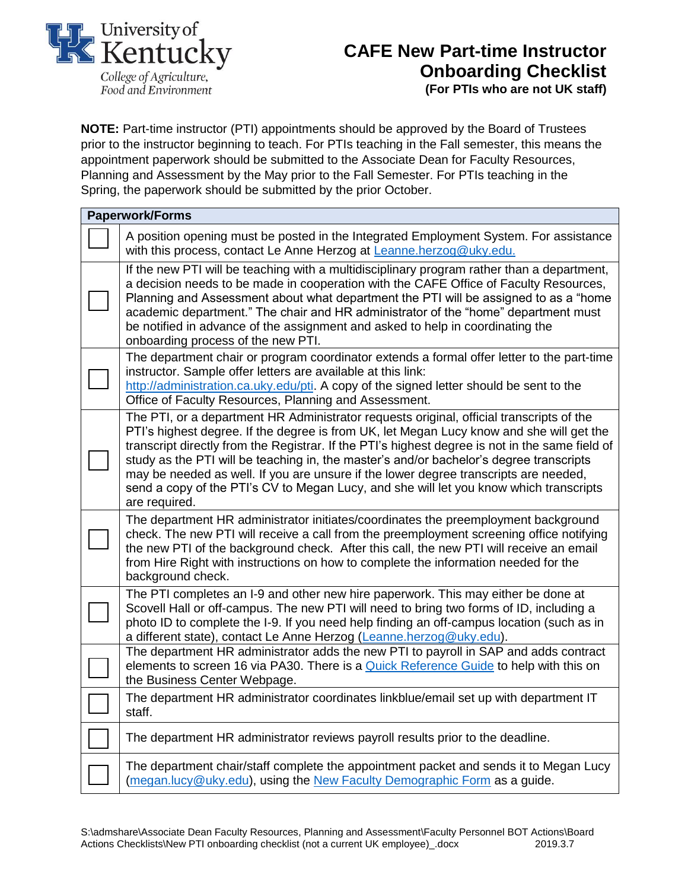

## **CAFE New Part-time Instructor Onboarding Checklist**

**(For PTIs who are not UK staff)**

**NOTE:** Part-time instructor (PTI) appointments should be approved by the Board of Trustees prior to the instructor beginning to teach. For PTIs teaching in the Fall semester, this means the appointment paperwork should be submitted to the Associate Dean for Faculty Resources, Planning and Assessment by the May prior to the Fall Semester. For PTIs teaching in the Spring, the paperwork should be submitted by the prior October.

| <b>Paperwork/Forms</b> |                                                                                                                                                                                                                                                                                                                                                                                                                                                                                                                                                                                       |
|------------------------|---------------------------------------------------------------------------------------------------------------------------------------------------------------------------------------------------------------------------------------------------------------------------------------------------------------------------------------------------------------------------------------------------------------------------------------------------------------------------------------------------------------------------------------------------------------------------------------|
|                        | A position opening must be posted in the Integrated Employment System. For assistance<br>with this process, contact Le Anne Herzog at Leanne.herzog@uky.edu.                                                                                                                                                                                                                                                                                                                                                                                                                          |
|                        | If the new PTI will be teaching with a multidisciplinary program rather than a department,<br>a decision needs to be made in cooperation with the CAFE Office of Faculty Resources,<br>Planning and Assessment about what department the PTI will be assigned to as a "home<br>academic department." The chair and HR administrator of the "home" department must<br>be notified in advance of the assignment and asked to help in coordinating the<br>onboarding process of the new PTI.                                                                                             |
|                        | The department chair or program coordinator extends a formal offer letter to the part-time<br>instructor. Sample offer letters are available at this link:<br>http://administration.ca.uky.edu/pti. A copy of the signed letter should be sent to the<br>Office of Faculty Resources, Planning and Assessment.                                                                                                                                                                                                                                                                        |
|                        | The PTI, or a department HR Administrator requests original, official transcripts of the<br>PTI's highest degree. If the degree is from UK, let Megan Lucy know and she will get the<br>transcript directly from the Registrar. If the PTI's highest degree is not in the same field of<br>study as the PTI will be teaching in, the master's and/or bachelor's degree transcripts<br>may be needed as well. If you are unsure if the lower degree transcripts are needed,<br>send a copy of the PTI's CV to Megan Lucy, and she will let you know which transcripts<br>are required. |
|                        | The department HR administrator initiates/coordinates the preemployment background<br>check. The new PTI will receive a call from the preemployment screening office notifying<br>the new PTI of the background check. After this call, the new PTI will receive an email<br>from Hire Right with instructions on how to complete the information needed for the<br>background check.                                                                                                                                                                                                 |
|                        | The PTI completes an I-9 and other new hire paperwork. This may either be done at<br>Scovell Hall or off-campus. The new PTI will need to bring two forms of ID, including a<br>photo ID to complete the I-9. If you need help finding an off-campus location (such as in<br>a different state), contact Le Anne Herzog (Leanne.herzog@uky.edu).                                                                                                                                                                                                                                      |
|                        | The department HR administrator adds the new PTI to payroll in SAP and adds contract<br>elements to screen 16 via PA30. There is a Quick Reference Guide to help with this on<br>the Business Center Webpage.                                                                                                                                                                                                                                                                                                                                                                         |
|                        | The department HR administrator coordinates linkblue/email set up with department IT<br>staff.                                                                                                                                                                                                                                                                                                                                                                                                                                                                                        |
|                        | The department HR administrator reviews payroll results prior to the deadline.                                                                                                                                                                                                                                                                                                                                                                                                                                                                                                        |
|                        | The department chair/staff complete the appointment packet and sends it to Megan Lucy<br>(megan.lucy@uky.edu), using the New Faculty Demographic Form as a guide.                                                                                                                                                                                                                                                                                                                                                                                                                     |